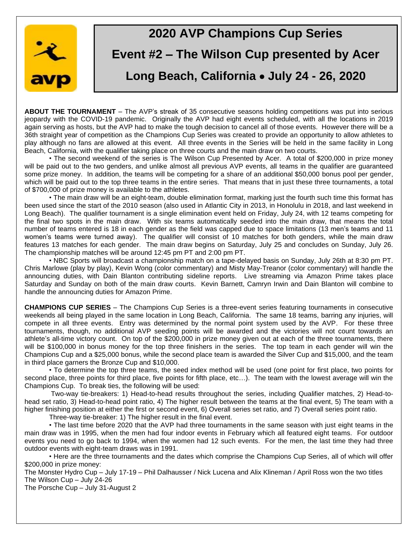

# **2020 AVP Champions Cup Series Event #2 – The Wilson Cup presented by Acer Long Beach, California** • **July 24 - 26, 2020**

**ABOUT THE TOURNAMENT** – The AVP's streak of 35 consecutive seasons holding competitions was put into serious jeopardy with the COVID-19 pandemic. Originally the AVP had eight events scheduled, with all the locations in 2019 again serving as hosts, but the AVP had to make the tough decision to cancel all of those events. However there will be a 36th straight year of competition as the Champions Cup Series was created to provide an opportunity to allow athletes to play although no fans are allowed at this event. All three events in the Series will be held in the same facility in Long Beach, California, with the qualifier taking place on three courts and the main draw on two courts.

• The second weekend of the series is The Wilson Cup Presented by Acer. A total of \$200,000 in prize money will be paid out to the two genders, and unlike almost all previous AVP events, all teams in the qualifier are guaranteed some prize money. In addition, the teams will be competing for a share of an additional \$50,000 bonus pool per gender, which will be paid out to the top three teams in the entire series. That means that in just these three tournaments, a total of \$700,000 of prize money is available to the athletes.

• The main draw will be an eight-team, double elimination format, marking just the fourth such time this format has been used since the start of the 2010 season (also used in Atlantic City in 2013, in Honolulu in 2018, and last weekend in Long Beach). The qualifier tournament is a single elimination event held on Friday, July 24, with 12 teams competing for the final two spots in the main draw. With six teams automatically seeded into the main draw, that means the total number of teams entered is 18 in each gender as the field was capped due to space limitations (13 men's teams and 11 women's teams were turned away). The qualifier will consist of 10 matches for both genders, while the main draw features 13 matches for each gender. The main draw begins on Saturday, July 25 and concludes on Sunday, July 26. The championship matches will be around 12:45 pm PT and 2:00 pm PT.

• NBC Sports will broadcast a championship match on a tape-delayed basis on Sunday, July 26th at 8:30 pm PT. Chris Marlowe (play by play), Kevin Wong (color commentary) and Misty May-Treanor (color commentary) will handle the announcing duties, with Dain Blanton contributing sideline reports. Live streaming via Amazon Prime takes place Saturday and Sunday on both of the main draw courts. Kevin Barnett, Camryn Irwin and Dain Blanton will combine to handle the announcing duties for Amazon Prime.

**CHAMPIONS CUP SERIES** – The Champions Cup Series is a three-event series featuring tournaments in consecutive weekends all being played in the same location in Long Beach, California. The same 18 teams, barring any injuries, will compete in all three events. Entry was determined by the normal point system used by the AVP. For these three tournaments, though, no additional AVP seeding points will be awarded and the victories will not count towards an athlete's all-time victory count. On top of the \$200,000 in prize money given out at each of the three tournaments, there will be \$100,000 in bonus money for the top three finishers in the series. The top team in each gender will win the Champions Cup and a \$25,000 bonus, while the second place team is awarded the Silver Cup and \$15,000, and the team in third place garners the Bronze Cup and \$10,000.

• To determine the top three teams, the seed index method will be used (one point for first place, two points for second place, three points for third place, five points for fifth place, etc…). The team with the lowest average will win the Champions Cup. To break ties, the following will be used:

Two-way tie-breakers: 1) Head-to-head results throughout the series, including Qualifier matches, 2) Head-tohead set ratio, 3) Head-to-head point ratio, 4) The higher result between the teams at the final event, 5) The team with a higher finishing position at either the first or second event, 6) Overall series set ratio, and 7) Overall series point ratio.

Three-way tie-breaker: 1) The higher result in the final event.

• The last time before 2020 that the AVP had three tournaments in the same season with just eight teams in the main draw was in 1995, when the men had four indoor events in February which all featured eight teams. For outdoor events you need to go back to 1994, when the women had 12 such events. For the men, the last time they had three outdoor events with eight-team draws was in 1991.

• Here are the three tournaments and the dates which comprise the Champions Cup Series, all of which will offer \$200,000 in prize money:

The Monster Hydro Cup – July 17-19 – Phil Dalhausser / Nick Lucena and Alix Klineman / April Ross won the two titles The Wilson Cup – July 24-26

The Porsche Cup – July 31-August 2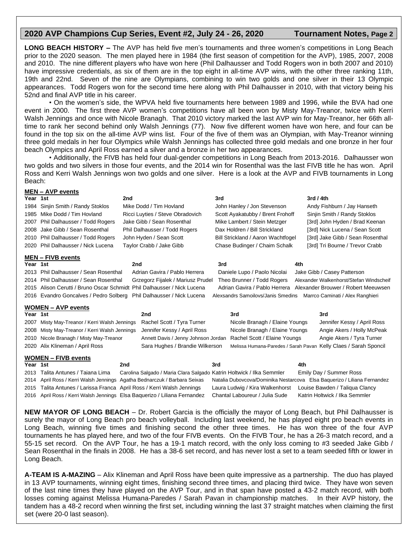## **2020 AVP Champions Cup Series, Event #2, July 24 - 26, 2020 Tournament Notes, Page 2**

**LONG BEACH HISTORY –** The AVP has held five men's tournaments and three women's competitions in Long Beach prior to the 2020 season. The men played here in 1984 (the first season of competition for the AVP), 1985, 2007, 2008 and 2010. The nine different players who have won here (Phil Dalhausser and Todd Rogers won in both 2007 and 2010) have impressive credentials, as six of them are in the top eight in all-time AVP wins, with the other three ranking 11th, 19th and 22nd. Seven of the nine are Olympians, combining to win two golds and one silver in their 13 Olympic appearances. Todd Rogers won for the second time here along with Phil Dalhausser in 2010, with that victory being his 52nd and final AVP title in his career.

• On the women's side, the WPVA held five tournaments here between 1989 and 1996, while the BVA had one event in 2000. The first three AVP women's competitions have all been won by Misty May-Treanor, twice with Kerri Walsh Jennings and once with Nicole Branagh. That 2010 victory marked the last AVP win for May-Treanor, her 66th alltime to rank her second behind only Walsh Jennings (77). Now five different women have won here, and four can be found in the top six on the all-time AVP wins list. Four of the five of them was an Olympian, with May-Treanor winning three gold medals in her four Olympics while Walsh Jennings has collected three gold medals and one bronze in her four beach Olympics and April Ross earned a silver and a bronze in her two appearances.

• Additionally, the FIVB has held four dual-gender competitions in Long Beach from 2013-2016. Dalhausser won two golds and two silvers in those four events, and the 2014 win for Rosenthal was the last FIVB title he has won. April Ross and Kerri Walsh Jennings won two golds and one silver. Here is a look at the AVP and FIVB tournaments in Long Beach:

| <b>MEN - AVP events</b>    |                                                                                                                                                     |                                                                       |                                                                     |                               |                                    |                                                                  |                                  |
|----------------------------|-----------------------------------------------------------------------------------------------------------------------------------------------------|-----------------------------------------------------------------------|---------------------------------------------------------------------|-------------------------------|------------------------------------|------------------------------------------------------------------|----------------------------------|
| Year 1st                   |                                                                                                                                                     | 2nd                                                                   |                                                                     | 3rd                           |                                    |                                                                  | 3rd / 4th                        |
| 1984                       | Sinjin Smith / Randy Stoklos<br>Mike Dodd / Tim Hovland                                                                                             |                                                                       |                                                                     | John Hanley / Jon Stevenson   |                                    |                                                                  | Andy Fishburn / Jay Hanseth      |
|                            | 1985 Mike Dodd / Tim Hovland                                                                                                                        |                                                                       | Ricci Luyties / Steve Obradovich                                    |                               | Scott Ayakatubby / Brent Frohoff   |                                                                  | Sinjin Smith / Randy Stoklos     |
| 2007                       | Phil Dalhausser / Todd Rogers                                                                                                                       | Jake Gibb / Sean Rosenthal                                            |                                                                     |                               | Mike Lambert / Stein Metzger       |                                                                  | [3rd] John Hyden / Brad Keenan   |
| 2008                       | Jake Gibb / Sean Rosenthal                                                                                                                          |                                                                       | Phil Dalhausser / Todd Rogers                                       |                               | Dax Holdren / Bill Strickland      |                                                                  | [3rd] Nick Lucena / Sean Scott   |
|                            | 2010 Phil Dalhausser / Todd Rogers                                                                                                                  |                                                                       | John Hyden / Sean Scott                                             |                               | Bill Strickland / Aaron Wachtfogel |                                                                  | [3rd] Jake Gibb / Sean Rosenthal |
| 2020                       | Phil Dalhausser / Nick Lucena                                                                                                                       |                                                                       | Taylor Crabb / Jake Gibb                                            | Chase Budinger / Chaim Schalk |                                    |                                                                  | [3rd] Tri Bourne / Trevor Crabb  |
| <u>MEN – FIVB events</u>   |                                                                                                                                                     |                                                                       |                                                                     |                               |                                    |                                                                  |                                  |
| Year 1st                   |                                                                                                                                                     | 2 <sub>nd</sub>                                                       |                                                                     | 3rd                           |                                    | 4th                                                              |                                  |
|                            | 2013 Phil Dalhausser / Sean Rosenthal                                                                                                               |                                                                       | Adrian Gavira / Pablo Herrera                                       |                               | Daniele Lupo / Paolo Nicolai       |                                                                  | Jake Gibb / Casey Patterson      |
|                            | 2014 Phil Dalhausser / Sean Rosenthal<br>Grzegorz Fijalek / Mariusz Prudel<br>Theo Brunner / Todd Rogers<br>Alexander Walkenhorst/Stefan Windscheif |                                                                       |                                                                     |                               |                                    |                                                                  |                                  |
|                            | 2015 Alison Cerutti / Bruno Oscar Schmidt Phil Dalhausser / Nick Lucena<br>Adrian Gavira / Pablo Herrera<br>Alexander Brouwer / Robert Meeuwsen     |                                                                       |                                                                     |                               |                                    |                                                                  |                                  |
|                            | 2016 Evandro Goncalves / Pedro Solberg<br>Phil Dalhausser / Nick Lucena<br>Alexsandrs Samoilovs/Janis Smedins<br>Marrco Caminati / Alex Ranghieri   |                                                                       |                                                                     |                               |                                    |                                                                  |                                  |
| <b>WOMEN - AVP events</b>  |                                                                                                                                                     |                                                                       |                                                                     |                               |                                    |                                                                  |                                  |
| Year 1st                   |                                                                                                                                                     |                                                                       | 2nd                                                                 |                               | 3rd                                |                                                                  | 3rd                              |
| 2007                       | Misty May-Treanor / Kerri Walsh Jennings                                                                                                            |                                                                       | Rachel Scott / Tyra Turner                                          |                               | Nicole Branagh / Elaine Youngs     |                                                                  | Jennifer Kessy / April Ross      |
| 2008                       | Misty May-Treanor / Kerri Walsh Jennings                                                                                                            |                                                                       | Jennifer Kessy / April Ross<br>Nicole Branagh / Elaine Youngs       |                               |                                    | Angie Akers / Holly McPeak                                       |                                  |
| 2010                       | Nicole Branagh / Misty May-Treanor                                                                                                                  |                                                                       | Annett Davis / Jenny Johnson Jordan<br>Rachel Scott / Elaine Youngs |                               |                                    | Angie Akers / Tyra Turner                                        |                                  |
| 2020                       | Alix Klineman / April Ross                                                                                                                          |                                                                       | Sara Hughes / Brandie Wilkerson                                     |                               |                                    | Melissa Humana-Paredes / Sarah Pavan Kelly Claes / Sarah Sponcil |                                  |
| <b>WOMEN - FIVB events</b> |                                                                                                                                                     |                                                                       |                                                                     |                               |                                    |                                                                  |                                  |
| Year 1st                   |                                                                                                                                                     | 2nd                                                                   |                                                                     | 3rd                           |                                    | 4th                                                              |                                  |
| 2013                       | Talita Antunes / Taiana Lima                                                                                                                        | Carolina Salgado / Maria Clara Salgado Katrin Holtwick / Ilka Semmler |                                                                     |                               |                                    |                                                                  | Emily Day / Summer Ross          |
| 2014                       | April Ross / Kerri Walsh Jennings Agatha Bednarczuk / Barbara Seixas<br>Natalia Dubovcova/Dominika Nestarcova Elsa Baquerizo / Liliana Fernandez    |                                                                       |                                                                     |                               |                                    |                                                                  |                                  |
| 2015                       | Talita Antunes / Larissa Franca April Ross / Kerri Walsh Jennings                                                                                   |                                                                       |                                                                     |                               | Laura Ludwig / Kira Walkenhorst    |                                                                  | Louise Bawden / Taligua Clancy   |
|                            | 2016 April Ross / Kerri Walsh Jennings Elsa Baquerizo / Liliana Fernandez<br>Chantal Laboureur / Julia Sude<br>Katrin Holtwick / Ilka Semmler       |                                                                       |                                                                     |                               |                                    |                                                                  |                                  |

**NEW MAYOR OF LONG BEACH** – Dr. Robert Garcia is the officially the mayor of Long Beach, but Phil Dalhausser is surely the mayor of Long Beach pro beach volleyball. Including last weekend, he has played eight pro beach events in Long Beach, winning five times and finishing second the other three times. He has won three of the four AVP tournaments he has played here, and two of the four FIVB events. On the FIVB Tour, he has a 26-3 match record, and a 55-15 set record. On the AVP Tour, he has a 19-1 match record, with the only loss coming to #3 seeded Jake Gibb / Sean Rosenthal in the finals in 2008. He has a 38-6 set record, and has never lost a set to a team seeded fifth or lower in Long Beach.

**A-TEAM IS A-MAZING** – Alix Klineman and April Ross have been quite impressive as a partnership. The duo has played in 13 AVP tournaments, winning eight times, finishing second three times, and placing third twice. They have won seven of the last nine times they have played on the AVP Tour, and in that span have posted a 43-2 match record, with both losses coming against Melissa Humana-Paredes / Sarah Pavan in championship matches. In their AVP history, the tandem has a 48-2 record when winning the first set, including winning the last 37 straight matches when claiming the first set (were 20-0 last season).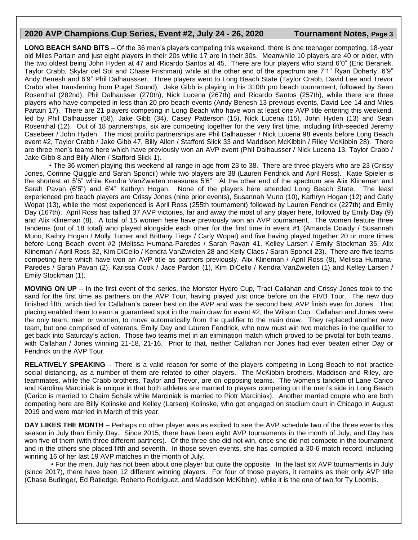### **2020 AVP Champions Cup Series, Event #2, July 24 - 26, 2020 Tournament Notes, Page 3**

**LONG BEACH SAND BITS** – Of the 36 men's players competing this weekend, there is one teenager competing, 18-year old Miles Partain and just eight players in their 20s while 17 are in their 30s. Meanwhile 10 players are 40 or older, with the two oldest being John Hyden at 47 and Ricardo Santos at 45. There are four players who stand 6'0" (Eric Beranek, Taylor Crabb, Skylar del Sol and Chase Frishman) while at the other end of the spectrum are 7'1" Ryan Doherty, 6'9" Andy Benesh and 6'9" Phil Dalhaussser. Three players went to Long Beach State (Taylor Crabb, David Lee and Trevor Crabb after transferring from Puget Sound). Jake Gibb is playing in his 310th pro beach tournament, followed by Sean Rosenthal (282nd), Phil Dalhausser (270th), Nick Lucena (267th) and Ricardo Santos (257th), while there are three players who have competed in less than 20 pro beach events (Andy Benesh 13 previous events, David Lee 14 and Miles Partain 17). There are 21 players competing in Long Beach who have won at least one AVP title entering this weekend, led by Phil Dalhausser (58), Jake Gibb (34), Casey Patterson (15), Nick Lucena (15), John Hyden (13) and Sean Rosenthal (12). Out of 18 partnerships, six are competing together for the very first time, including fifth-seeded Jeremy Casebeer / John Hyden. The most prolific partnerships are Phil Dalhausser / Nick Lucena 98 events before Long Beach event #2, Taylor Crabb / Jake Gibb 47, Billy Allen / Stafford Slick 33 and Maddison McKibbin / Riley McKibbin 28). There are three men's teams here which have previously won an AVP event (Phil Dalhausser / Nick Lucena 13, Taylor Crabb / Jake Gibb 8 and Billy Allen / Stafford Slick 1).

• The 36 women playing this weekend all range in age from 23 to 38. There are three players who are 23 (Crissy Jones, Corinne Quiggle and Sarah Sponcil) while two players are 38 (Lauren Fendrick and April Ross). Katie Spieler is the shortest at 5'5" while Kendra VanZwieten measures 5'6". At the other end of the spectrum are Alix Klineman and Sarah Pavan (6'5") and 6'4" Kathryn Hogan. None of the players here attended Long Beach State. The least experienced pro beach players are Crissy Jones (nine prior events), Susannah Muno (10), Kathryn Hogan (12) and Carly Wopat (13), while the most experienced is April Ross (255th tournament) followed by Lauren Fendrick (227th) and Emily Day (167th). April Ross has tallied 37 AVP victories, far and away the most of any player here, followed by Emily Day (9) and Alix Klineman (8). A total of 15 women here have previously won an AVP tournament. The women feature three tandems (out of 18 total) who played alongside each other for the first time in event #1 (Amanda Dowdy / Susannah Muno, Kathry Hogan / Molly Turner and Brittany Tiegs / Carly Wopat) and five having played together 20 or more times before Long Beach event #2 (Melissa Humana-Paredes / Sarah Pavan 41, Kelley Larsen / Emily Stockman 35, Alix Klineman / April Ross 32, Kim DiCello / Kendra VanZwieten 28 and Kelly Claes / Sarah Sponcil 23). There are five teams competing here which have won an AVP title as partners previously, Alix Klineman / April Ross (8), Melissa Humana-Paredes / Sarah Pavan (2), Karissa Cook / Jace Pardon (1), Kim DiCello / Kendra VanZwieten (1) and Kelley Larsen / Emily Stockman (1).

**MOVING ON UP** – In the first event of the series, the Monster Hydro Cup, Traci Callahan and Crissy Jones took to the sand for the first time as partners on the AVP Tour, having played just once before on the FIVB Tour. The new duo finished fifth, which tied for Callahan's career best on the AVP and was the second best AVP finish ever for Jones. That placing enabled them to earn a guaranteed spot in the main draw for event #2, the Wilson Cup. Callahan and Jones were the only team, men or women, to move automatically from the qualifier to the main draw. They replaced another new team, but one comprised of veterans, Emily Day and Lauren Fendrick, who now must win two matches in the qualifier to get back into Saturday's action. Those two teams met in an elimination match which proved to be pivotal for both teams, with Callahan / Jones winning 21-18, 21-16. Prior to that, neither Callahan nor Jones had ever beaten either Day or Fendrick on the AVP Tour.

**RELATIVELY SPEAKING** – There is a valid reason for some of the players competing in Long Beach to not practice social distancing, as a number of them are related to other players. The McKibbin brothers, Maddison and Riley, are teammates, while the Crabb brothers, Taylor and Trevor, are on opposing teams. The women's tandem of Lane Carico and Karolina Marciniak is unique in that both athletes are married to players competing on the men's side in Long Beach (Carico is married to Chaim Schalk while Marciniak is married to Piotr Marciniak). Another married couple who are both competing here are Billy Kolinske and Kelley (Larsen) Kolinske, who got engaged on stadium court in Chicago in August 2019 and were married in March of this year.

**DAY LIKES THE MONTH** – Perhaps no other player was as excited to see the AVP schedule two of the three events this season in July than Emily Day. Since 2015, there have been eight AVP tournaments in the month of July, and Day has won five of them (with three different partners). Of the three she did not win, once she did not compete in the tournament and in the others she placed fifth and seventh. In those seven events, she has compiled a 30-6 match record, including winning 16 of her last 19 AVP matches in the month of July.

• For the men, July has not been about one player but quite the opposite. In the last six AVP tournaments in July (since 2017), there have been 12 different winning players. For four of those players, it remains as their only AVP title (Chase Budinger, Ed Ratledge, Roberto Rodriguez, and Maddison McKibbin), while it is the one of two for Ty Loomis.